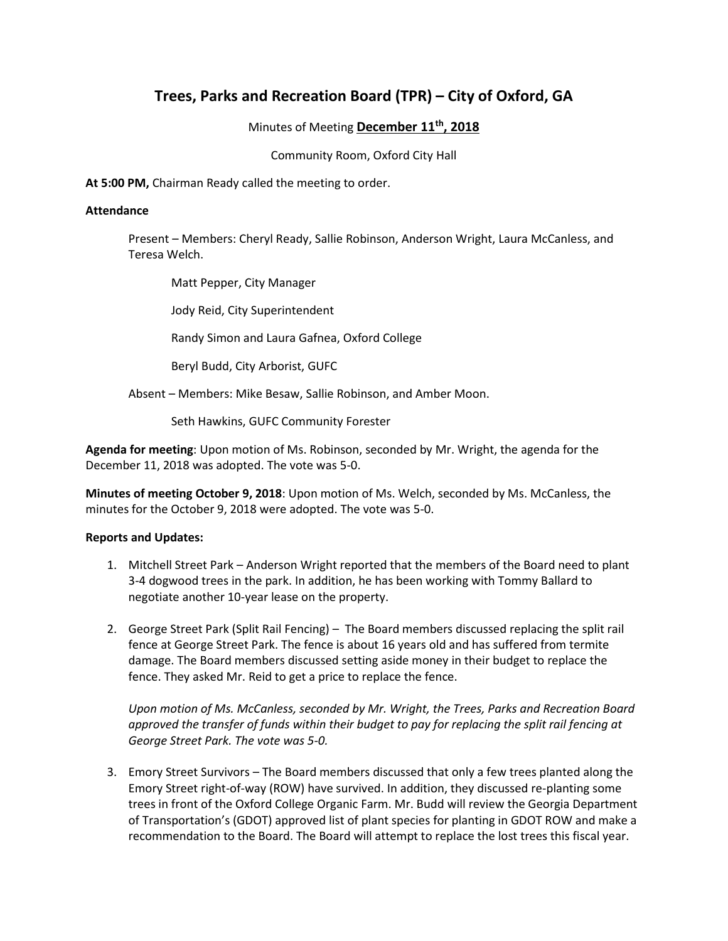## **Trees, Parks and Recreation Board (TPR) – City of Oxford, GA**

Minutes of Meeting **December 11th, 2018**

Community Room, Oxford City Hall

**At 5:00 PM,** Chairman Ready called the meeting to order.

## **Attendance**

Present – Members: Cheryl Ready, Sallie Robinson, Anderson Wright, Laura McCanless, and Teresa Welch.

Matt Pepper, City Manager

Jody Reid, City Superintendent

Randy Simon and Laura Gafnea, Oxford College

Beryl Budd, City Arborist, GUFC

Absent – Members: Mike Besaw, Sallie Robinson, and Amber Moon.

Seth Hawkins, GUFC Community Forester

**Agenda for meeting**: Upon motion of Ms. Robinson, seconded by Mr. Wright, the agenda for the December 11, 2018 was adopted. The vote was 5-0.

**Minutes of meeting October 9, 2018**: Upon motion of Ms. Welch, seconded by Ms. McCanless, the minutes for the October 9, 2018 were adopted. The vote was 5-0.

## **Reports and Updates:**

- 1. Mitchell Street Park Anderson Wright reported that the members of the Board need to plant 3-4 dogwood trees in the park. In addition, he has been working with Tommy Ballard to negotiate another 10-year lease on the property.
- 2. George Street Park (Split Rail Fencing) The Board members discussed replacing the split rail fence at George Street Park. The fence is about 16 years old and has suffered from termite damage. The Board members discussed setting aside money in their budget to replace the fence. They asked Mr. Reid to get a price to replace the fence.

*Upon motion of Ms. McCanless, seconded by Mr. Wright, the Trees, Parks and Recreation Board approved the transfer of funds within their budget to pay for replacing the split rail fencing at George Street Park. The vote was 5-0.* 

3. Emory Street Survivors – The Board members discussed that only a few trees planted along the Emory Street right-of-way (ROW) have survived. In addition, they discussed re-planting some trees in front of the Oxford College Organic Farm. Mr. Budd will review the Georgia Department of Transportation's (GDOT) approved list of plant species for planting in GDOT ROW and make a recommendation to the Board. The Board will attempt to replace the lost trees this fiscal year.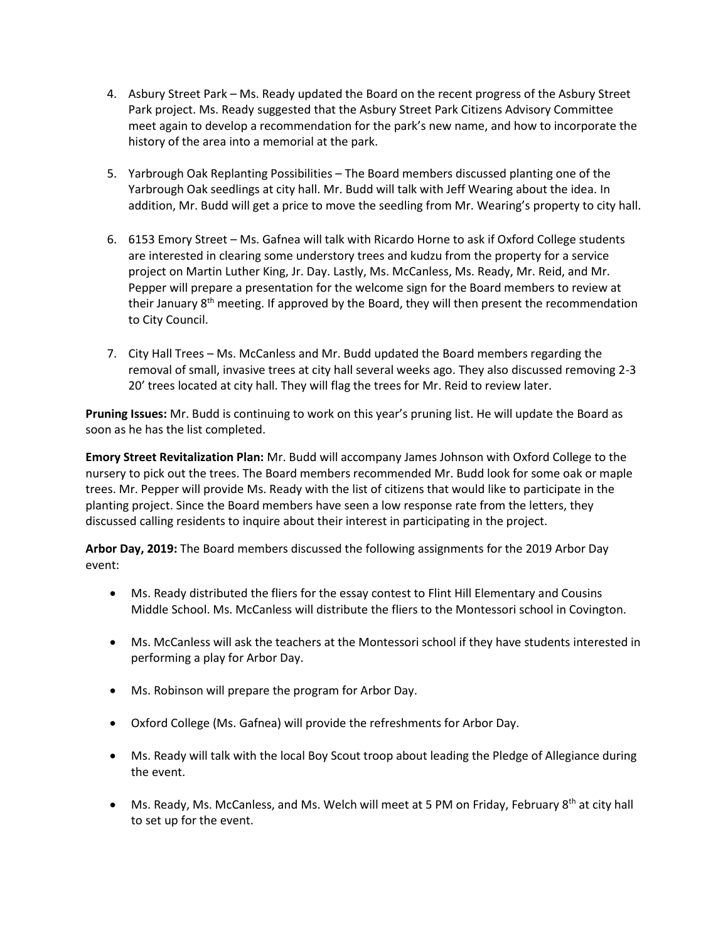- 4. Asbury Street Park Ms. Ready updated the Board on the recent progress of the Asbury Street Park project. Ms. Ready suggested that the Asbury Street Park Citizens Advisory Committee meet again to develop a recommendation for the park's new name, and how to incorporate the history of the area into a memorial at the park.
- 5. Yarbrough Oak Replanting Possibilities The Board members discussed planting one of the Yarbrough Oak seedlings at city hall. Mr. Budd will talk with Jeff Wearing about the idea. In addition, Mr. Budd will get a price to move the seedling from Mr. Wearing's property to city hall.
- 6. 6153 Emory Street Ms. Gafnea will talk with Ricardo Horne to ask if Oxford College students are interested in clearing some understory trees and kudzu from the property for a service project on Martin Luther King, Jr. Day. Lastly, Ms. McCanless, Ms. Ready, Mr. Reid, and Mr. Pepper will prepare a presentation for the welcome sign for the Board members to review at their January  $8<sup>th</sup>$  meeting. If approved by the Board, they will then present the recommendation to City Council.
- 7. City Hall Trees Ms. McCanless and Mr. Budd updated the Board members regarding the removal of small, invasive trees at city hall several weeks ago. They also discussed removing 2-3 20' trees located at city hall. They will flag the trees for Mr. Reid to review later.

**Pruning Issues:** Mr. Budd is continuing to work on this year's pruning list. He will update the Board as soon as he has the list completed.

**Emory Street Revitalization Plan:** Mr. Budd will accompany James Johnson with Oxford College to the nursery to pick out the trees. The Board members recommended Mr. Budd look for some oak or maple trees. Mr. Pepper will provide Ms. Ready with the list of citizens that would like to participate in the planting project. Since the Board members have seen a low response rate from the letters, they discussed calling residents to inquire about their interest in participating in the project.

**Arbor Day, 2019:** The Board members discussed the following assignments for the 2019 Arbor Day event:

- Ms. Ready distributed the fliers for the essay contest to Flint Hill Elementary and Cousins Middle School. Ms. McCanless will distribute the fliers to the Montessori school in Covington.
- Ms. McCanless will ask the teachers at the Montessori school if they have students interested in performing a play for Arbor Day.
- Ms. Robinson will prepare the program for Arbor Day.
- Oxford College (Ms. Gafnea) will provide the refreshments for Arbor Day.
- Ms. Ready will talk with the local Boy Scout troop about leading the Pledge of Allegiance during the event.
- Ms. Ready, Ms. McCanless, and Ms. Welch will meet at 5 PM on Friday, February  $8^{th}$  at city hall to set up for the event.